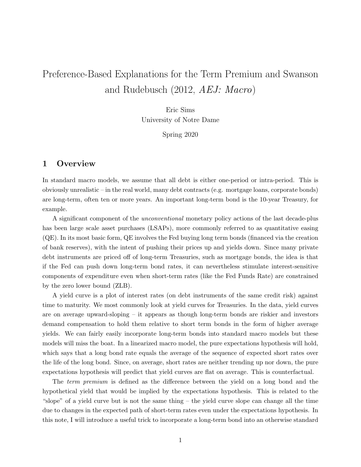# Preference-Based Explanations for the Term Premium and Swanson and Rudebusch (2012, AEJ: Macro)

Eric Sims University of Notre Dame

Spring 2020

# 1 Overview

In standard macro models, we assume that all debt is either one-period or intra-period. This is obviously unrealistic – in the real world, many debt contracts (e.g. mortgage loans, corporate bonds) are long-term, often ten or more years. An important long-term bond is the 10-year Treasury, for example.

A significant component of the unconventional monetary policy actions of the last decade-plus has been large scale asset purchases (LSAPs), more commonly referred to as quantitative easing (QE). In its most basic form, QE involves the Fed buying long term bonds (financed via the creation of bank reserves), with the intent of pushing their prices up and yields down. Since many private debt instruments are priced off of long-term Treasuries, such as mortgage bonds, the idea is that if the Fed can push down long-term bond rates, it can nevertheless stimulate interest-sensitive components of expenditure even when short-term rates (like the Fed Funds Rate) are constrained by the zero lower bound (ZLB).

A yield curve is a plot of interest rates (on debt instruments of the same credit risk) against time to maturity. We most commonly look at yield curves for Treasuries. In the data, yield curves are on average upward-sloping – it appears as though long-term bonds are riskier and investors demand compensation to hold them relative to short term bonds in the form of higher average yields. We can fairly easily incorporate long-term bonds into standard macro models but these models will miss the boat. In a linearized macro model, the pure expectations hypothesis will hold, which says that a long bond rate equals the average of the sequence of expected short rates over the life of the long bond. Since, on average, short rates are neither trending up nor down, the pure expectations hypothesis will predict that yield curves are flat on average. This is counterfactual.

The *term premium* is defined as the difference between the yield on a long bond and the hypothetical yield that would be implied by the expectations hypothesis. This is related to the "slope" of a yield curve but is not the same thing – the yield curve slope can change all the time due to changes in the expected path of short-term rates even under the expectations hypothesis. In this note, I will introduce a useful trick to incorporate a long-term bond into an otherwise standard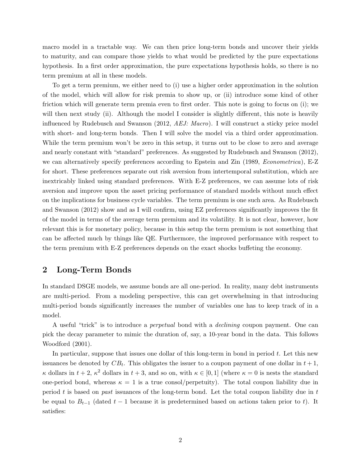macro model in a tractable way. We can then price long-term bonds and uncover their yields to maturity, and can compare those yields to what would be predicted by the pure expectations hypothesis. In a first order approximation, the pure expectations hypothesis holds, so there is no term premium at all in these models.

To get a term premium, we either need to (i) use a higher order approximation in the solution of the model, which will allow for risk premia to show up, or (ii) introduce some kind of other friction which will generate term premia even to first order. This note is going to focus on (i); we will then next study (ii). Although the model I consider is slightly different, this note is heavily influenced by Rudebusch and Swanson (2012, AEJ: Macro). I will construct a sticky price model with short- and long-term bonds. Then I will solve the model via a third order approximation. While the term premium won't be zero in this setup, it turns out to be close to zero and average and nearly constant with "standard" preferences. As suggested by Rudebusch and Swanson (2012), we can alternatively specify preferences according to Epstein and Zin (1989, *Econometrica*), E-Z for short. These preferences separate out risk aversion from intertemporal substitution, which are inextricably linked using standard preferences. With E-Z preferences, we can assume lots of risk aversion and improve upon the asset pricing performance of standard models without much effect on the implications for business cycle variables. The term premium is one such area. As Rudebusch and Swanson (2012) show and as I will confirm, using EZ preferences significantly improves the fit of the model in terms of the average term premium and its volatility. It is not clear, however, how relevant this is for monetary policy, because in this setup the term premium is not something that can be affected much by things like QE. Furthermore, the improved performance with respect to the term premium with E-Z preferences depends on the exact shocks buffeting the economy.

# 2 Long-Term Bonds

In standard DSGE models, we assume bonds are all one-period. In reality, many debt instruments are multi-period. From a modeling perspective, this can get overwhelming in that introducing multi-period bonds significantly increases the number of variables one has to keep track of in a model.

A useful "trick" is to introduce a perpetual bond with a declining coupon payment. One can pick the decay parameter to mimic the duration of, say, a 10-year bond in the data. This follows Woodford (2001).

In particular, suppose that issues one dollar of this long-term in bond in period  $t$ . Let this new issuances be denoted by  $CB_t$ . This obligates the issuer to a coupon payment of one dollar in  $t + 1$ ,  $\kappa$  dollars in  $t + 2$ ,  $\kappa^2$  dollars in  $t + 3$ , and so on, with  $\kappa \in [0, 1]$  (where  $\kappa = 0$  is nests the standard one-period bond, whereas  $\kappa = 1$  is a true consol/perpetuity). The total coupon liability due in period  $t$  is based on past issuances of the long-term bond. Let the total coupon liability due in  $t$ be equal to  $B_{t-1}$  (dated  $t-1$  because it is predetermined based on actions taken prior to t). It satisfies: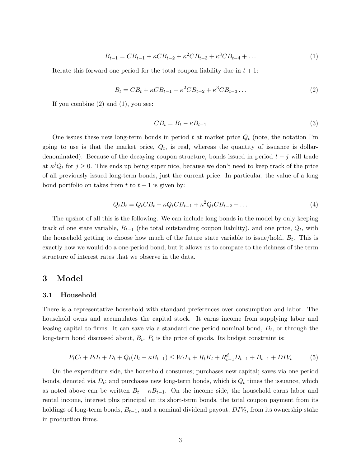$$
B_{t-1} = CB_{t-1} + \kappa CB_{t-2} + \kappa^2 CB_{t-3} + \kappa^3 CB_{t-4} + \dots \tag{1}
$$

Iterate this forward one period for the total coupon liability due in  $t + 1$ :

$$
B_t = CB_t + \kappa CB_{t-1} + \kappa^2 CB_{t-2} + \kappa^3 CB_{t-3} \dots \tag{2}
$$

If you combine (2) and (1), you see:

$$
CB_t = B_t - \kappa B_{t-1} \tag{3}
$$

One issues these new long-term bonds in period t at market price  $Q_t$  (note, the notation I'm going to use is that the market price,  $Q_t$ , is real, whereas the quantity of issuance is dollardenominated). Because of the decaying coupon structure, bonds issued in period  $t - j$  will trade at  $\kappa^j Q_t$  for  $j \geq 0$ . This ends up being super nice, because we don't need to keep track of the price of all previously issued long-term bonds, just the current price. In particular, the value of a long bond portfolio on takes from t to  $t + 1$  is given by:

$$
Q_t B_t = Q_t C B_t + \kappa Q_t C B_{t-1} + \kappa^2 Q_t C B_{t-2} + \dots \tag{4}
$$

The upshot of all this is the following. We can include long bonds in the model by only keeping track of one state variable,  $B_{t-1}$  (the total outstanding coupon liability), and one price,  $Q_t$ , with the household getting to choose how much of the future state variable to issue/hold,  $B_t$ . This is exactly how we would do a one-period bond, but it allows us to compare to the richness of the term structure of interest rates that we observe in the data.

# 3 Model

#### 3.1 Household

There is a representative household with standard preferences over consumption and labor. The household owns and accumulates the capital stock. It earns income from supplying labor and leasing capital to firms. It can save via a standard one period nominal bond,  $D_t$ , or through the long-term bond discussed about,  $B_t$ .  $P_t$  is the price of goods. Its budget constraint is:

$$
P_t C_t + P_t I_t + D_t + Q_t (B_t - \kappa B_{t-1}) \le W_t L_t + R_t K_t + R_{t-1}^d D_{t-1} + B_{t-1} + D I V_t \tag{5}
$$

On the expenditure side, the household consumes; purchases new capital; saves via one period bonds, denoted via  $D_t$ ; and purchases new long-term bonds, which is  $Q_t$  times the issuance, which as noted above can be written  $B_t - \kappa B_{t-1}$ . On the income side, the household earns labor and rental income, interest plus principal on its short-term bonds, the total coupon payment from its holdings of long-term bonds,  $B_{t-1}$ , and a nominal dividend payout,  $DIV_t$ , from its ownership stake in production firms.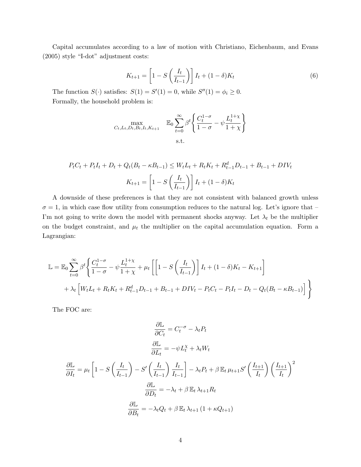Capital accumulates according to a law of motion with Christiano, Eichenbaum, and Evans (2005) style "I-dot" adjustment costs:

$$
K_{t+1} = \left[1 - S\left(\frac{I_t}{I_{t-1}}\right)\right]I_t + (1 - \delta)K_t
$$
\n
$$
(6)
$$

The function  $S(\cdot)$  satisfies:  $S(1) = S'(1) = 0$ , while  $S''(1) = \phi_i \geq 0$ . Formally, the household problem is:

$$
\max_{C_t, L_t, D_t, B_t, I_t, K_{t+1}} \quad \mathbb{E}_0 \sum_{t=0}^{\infty} \beta^t \left\{ \frac{C_t^{1-\sigma}}{1-\sigma} - \psi \frac{L_t^{1+\chi}}{1+\chi} \right\}
$$
\ns.t.

$$
P_t C_t + P_t I_t + D_t + Q_t (B_t - \kappa B_{t-1}) \le W_t L_t + R_t K_t + R_{t-1}^d D_{t-1} + B_{t-1} + DIV_t
$$

$$
K_{t+1} = \left[1 - S\left(\frac{I_t}{I_{t-1}}\right)\right] I_t + (1 - \delta) K_t
$$

A downside of these preferences is that they are not consistent with balanced growth unless  $\sigma = 1$ , in which case flow utility from consumption reduces to the natural log. Let's ignore that – I'm not going to write down the model with permanent shocks anyway. Let  $\lambda_t$  be the multiplier on the budget constraint, and  $\mu_t$  the multiplier on the capital accumulation equation. Form a Lagrangian:

$$
\mathbb{L} = \mathbb{E}_0 \sum_{t=0}^{\infty} \beta^t \left\{ \frac{C_t^{1-\sigma}}{1-\sigma} - \psi \frac{L_t^{1+\chi}}{1+\chi} + \mu_t \left[ \left[ 1 - S \left( \frac{I_t}{I_{t-1}} \right) \right] I_t + (1-\delta) K_t - K_{t+1} \right] + \lambda_t \left[ W_t L_t + R_t K_t + R_{t-1}^d D_{t-1} + B_{t-1} + D I V_t - P_t C_t - P_t I_t - D_t - Q_t (B_t - \kappa B_{t-1}) \right] \right\}
$$

The FOC are:

$$
\frac{\partial \mathbb{L}}{\partial C_t} = C_t^{-\sigma} - \lambda_t P_t
$$

$$
\frac{\partial \mathbb{L}}{\partial L_t} = -\psi L_t^{\chi} + \lambda_t W_t
$$

$$
\frac{\partial \mathbb{L}}{\partial I_t} = \mu_t \left[ 1 - S \left( \frac{I_t}{I_{t-1}} \right) - S' \left( \frac{I_t}{I_{t-1}} \right) \frac{I_t}{I_{t-1}} \right] - \lambda_t P_t + \beta \mathbb{E}_t \mu_{t+1} S' \left( \frac{I_{t+1}}{I_t} \right) \left( \frac{I_{t+1}}{I_t} \right)^2
$$

$$
\frac{\partial \mathbb{L}}{\partial D_t} = -\lambda_t + \beta \mathbb{E}_t \lambda_{t+1} R_t
$$

$$
\frac{\partial \mathbb{L}}{\partial B_t} = -\lambda_t Q_t + \beta \mathbb{E}_t \lambda_{t+1} \left( 1 + \kappa Q_{t+1} \right)
$$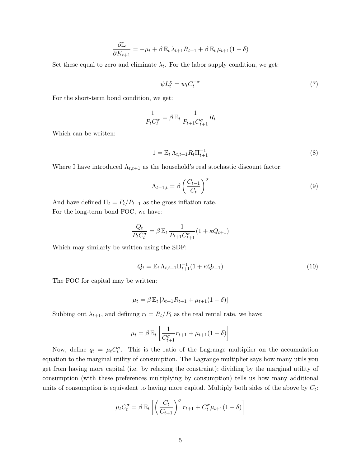$$
\frac{\partial \mathbb{L}}{\partial K_{t+1}} = -\mu_t + \beta \mathbb{E}_t \lambda_{t+1} R_{t+1} + \beta \mathbb{E}_t \mu_{t+1} (1 - \delta)
$$

Set these equal to zero and eliminate  $\lambda_t$ . For the labor supply condition, we get:

$$
\psi L_t^{\chi} = w_t C_t^{-\sigma} \tag{7}
$$

For the short-term bond condition, we get:

$$
\frac{1}{P_t C_t^{\sigma}} = \beta \, \mathbb{E}_t \, \frac{1}{P_{t+1} C_{t+1}^{\sigma}} R_t
$$

Which can be written:

$$
1 = \mathbb{E}_t \Lambda_{t,t+1} R_t \Pi_{t+1}^{-1} \tag{8}
$$

Where I have introduced  $\Lambda_{t,t+1}$  as the household's real stochastic discount factor:

$$
\Lambda_{t-1,t} = \beta \left( \frac{C_{t-1}}{C_t} \right)^{\sigma} \tag{9}
$$

And have defined  $\Pi_t = P_t/P_{t-1}$  as the gross inflation rate. For the long-term bond FOC, we have:

$$
\frac{Q_t}{P_t C_t^{\sigma}} = \beta \mathbb{E}_t \frac{1}{P_{t+1} C_{t+1}^{\sigma}} (1 + \kappa Q_{t+1})
$$

Which may similarly be written using the SDF:

$$
Q_t = \mathbb{E}_t \Lambda_{t,t+1} \Pi_{t+1}^{-1} (1 + \kappa Q_{t+1})
$$
\n(10)

The FOC for capital may be written:

$$
\mu_t = \beta \mathbb{E}_t \left[ \lambda_{t+1} R_{t+1} + \mu_{t+1} (1 - \delta) \right]
$$

Subbing out  $\lambda_{t+1}$ , and defining  $r_t = R_t/P_t$  as the real rental rate, we have:

$$
\mu_t = \beta \mathbb{E}_t \left[ \frac{1}{C_{t+1}^{\sigma}} r_{t+1} + \mu_{t+1} (1 - \delta) \right]
$$

Now, define  $q_t = \mu_t C_t^{\sigma}$ . This is the ratio of the Lagrange multiplier on the accumulation equation to the marginal utility of consumption. The Lagrange multiplier says how many utils you get from having more capital (i.e. by relaxing the constraint); dividing by the marginal utility of consumption (with these preferences multiplying by consumption) tells us how many additional units of consumption is equivalent to having more capital. Multiply both sides of the above by  $C_t$ :

$$
\mu_t C_t^{\sigma} = \beta \mathbb{E}_t \left[ \left( \frac{C_t}{C_{t+1}} \right)^{\sigma} r_{t+1} + C_t^{\sigma} \mu_{t+1} (1 - \delta) \right]
$$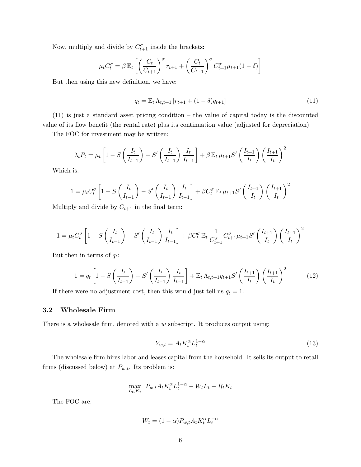Now, multiply and divide by  $C_{t+1}^{\sigma}$  inside the brackets:

$$
\mu_t C_t^{\sigma} = \beta \mathbb{E}_t \left[ \left( \frac{C_t}{C_{t+1}} \right)^{\sigma} r_{t+1} + \left( \frac{C_t}{C_{t+1}} \right)^{\sigma} C_{t+1}^{\sigma} \mu_{t+1} (1 - \delta) \right]
$$

But then using this new definition, we have:

$$
q_t = \mathbb{E}_t \,\Lambda_{t,t+1} \left[ r_{t+1} + (1 - \delta) q_{t+1} \right] \tag{11}
$$

(11) is just a standard asset pricing condition – the value of capital today is the discounted value of its flow benefit (the rental rate) plus its continuation value (adjusted for depreciation).

The FOC for investment may be written:

$$
\lambda_t P_t = \mu_t \left[ 1 - S \left( \frac{I_t}{I_{t-1}} \right) - S' \left( \frac{I_t}{I_{t-1}} \right) \frac{I_t}{I_{t-1}} \right] + \beta \mathbb{E}_t \mu_{t+1} S' \left( \frac{I_{t+1}}{I_t} \right) \left( \frac{I_{t+1}}{I_t} \right)^2
$$

Which is:

$$
1 = \mu_t C_t^{\sigma} \left[ 1 - S \left( \frac{I_t}{I_{t-1}} \right) - S' \left( \frac{I_t}{I_{t-1}} \right) \frac{I_t}{I_{t-1}} \right] + \beta C_t^{\sigma} \mathbb{E}_t \mu_{t+1} S' \left( \frac{I_{t+1}}{I_t} \right) \left( \frac{I_{t+1}}{I_t} \right)^2
$$

Multiply and divide by  $C_{t+1}$  in the final term:

$$
1 = \mu_t C_t^{\sigma} \left[ 1 - S \left( \frac{I_t}{I_{t-1}} \right) - S' \left( \frac{I_t}{I_{t-1}} \right) \frac{I_t}{I_{t-1}} \right] + \beta C_t^{\sigma} \mathbb{E}_t \frac{1}{C_{t+1}^{\sigma}} C_{t+1}^{\sigma} \mu_{t+1} S' \left( \frac{I_{t+1}}{I_t} \right) \left( \frac{I_{t+1}}{I_t} \right)^2
$$

But then in terms of  $q_t$ :

$$
1 = q_t \left[ 1 - S\left(\frac{I_t}{I_{t-1}}\right) - S'\left(\frac{I_t}{I_{t-1}}\right) \frac{I_t}{I_{t-1}} \right] + \mathbb{E}_t \Lambda_{t,t+1} q_{t+1} S'\left(\frac{I_{t+1}}{I_t}\right) \left(\frac{I_{t+1}}{I_t}\right)^2 \tag{12}
$$

If there were no adjustment cost, then this would just tell us  $q_t = 1$ .

#### 3.2 Wholesale Firm

There is a wholesale firm, denoted with a w subscript. It produces output using:

$$
Y_{w,t} = A_t K_t^{\alpha} L_t^{1-\alpha} \tag{13}
$$

The wholesale firm hires labor and leases capital from the household. It sells its output to retail firms (discussed below) at  $P_{w,t}$ . Its problem is:

$$
\max_{L_t, K_t} P_{w,t} A_t K_t^{\alpha} L_t^{1-\alpha} - W_t L_t - R_t K_t
$$

The FOC are:

$$
W_t = (1 - \alpha) P_{w,t} A_t K_t^{\alpha} L_t^{-\alpha}
$$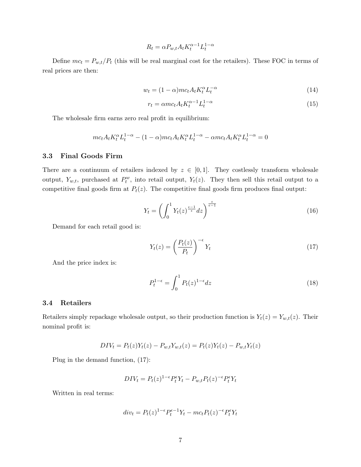$$
R_t = \alpha P_{w,t} A_t K_t^{\alpha - 1} L_t^{1 - \alpha}
$$

Define  $mc_t = P_{w,t}/P_t$  (this will be real marginal cost for the retailers). These FOC in terms of real prices are then:

$$
w_t = (1 - \alpha)mc_t A_t K_t^{\alpha} L_t^{-\alpha}
$$
\n<sup>(14)</sup>

$$
r_t = \alpha m c_t A_t K_t^{\alpha - 1} L_t^{1 - \alpha} \tag{15}
$$

The wholesale firm earns zero real profit in equilibrium:

$$
mc_t A_t K_t^{\alpha} L_t^{1-\alpha} - (1-\alpha)mc_t A_t K_t^{\alpha} L_t^{1-\alpha} - \alpha mc_t A_t K_t^{\alpha} L_t^{1-\alpha} = 0
$$

#### 3.3 Final Goods Firm

There are a continuum of retailers indexed by  $z \in [0,1]$ . They costlessly transform wholesale output,  $Y_{w,t}$ , purchased at  $P_t^w$ , into retail output,  $Y_t(z)$ . They then sell this retail output to a competitive final goods firm at  $P_t(z)$ . The competitive final goods firm produces final output:

$$
Y_t = \left(\int_0^1 Y_t(z)^{\frac{\epsilon - 1}{\epsilon}} dz\right)^{\frac{\epsilon}{\epsilon - 1}}
$$
\n(16)

Demand for each retail good is:

$$
Y_t(z) = \left(\frac{P_t(z)}{P_t}\right)^{-\epsilon} Y_t \tag{17}
$$

And the price index is:

$$
P_t^{1-\epsilon} = \int_0^1 P_t(z)^{1-\epsilon} dz \tag{18}
$$

### 3.4 Retailers

Retailers simply repackage wholesale output, so their production function is  $Y_t(z) = Y_{w,t}(z)$ . Their nominal profit is:

$$
DIV_t = P_t(z)Y_t(z) - P_{w,t}Y_{w,t}(z) = P_t(z)Y_t(z) - P_{w,t}Y_t(z)
$$

Plug in the demand function, (17):

$$
DIV_t = P_t(z)^{1-\epsilon} P_t^{\epsilon} Y_t - P_{w,t} P_t(z)^{-\epsilon} P_t^{\epsilon} Y_t
$$

Written in real terms:

$$
div_t = P_t(z)^{1-\epsilon} P_t^{\epsilon-1} Y_t - mc_t P_t(z)^{-\epsilon} P_t^{\epsilon} Y_t
$$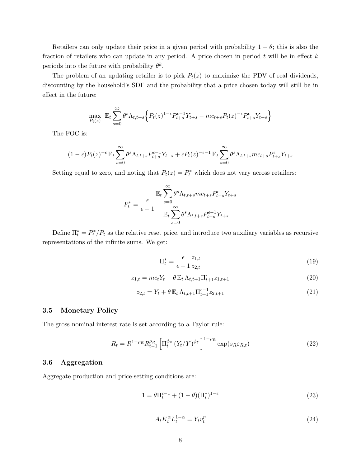Retailers can only update their price in a given period with probability  $1 - \theta$ ; this is also the fraction of retailers who can update in any period. A price chosen in period  $t$  will be in effect  $k$ periods into the future with probability  $\theta^k$ .

The problem of an updating retailer is to pick  $P_t(z)$  to maximize the PDV of real dividends, discounting by the household's SDF and the probability that a price chosen today will still be in effect in the future:

$$
\max_{P_t(z)} \mathbb{E}_t \sum_{s=0}^{\infty} \theta^s \Lambda_{t,t+s} \left\{ P_t(z)^{1-\epsilon} P_{t+s}^{\epsilon-1} Y_{t+s} - mc_{t+s} P_t(z)^{-\epsilon} P_{t+s}^{\epsilon} Y_{t+s} \right\}
$$

The FOC is:

$$
(1-\epsilon)P_t(z)^{-\epsilon}\mathbb{E}_t\sum_{s=0}^{\infty}\theta^s\Lambda_{t,t+s}P_{t+s}^{\epsilon-1}Y_{t+s}+\epsilon P_t(z)^{-\epsilon-1}\mathbb{E}_t\sum_{s=0}^{\infty}\theta^s\Lambda_{t,t+s}mc_{t+s}P_{t+s}^{\epsilon}Y_{t+s}
$$

Setting equal to zero, and noting that  $P_t(z) = P_t^*$  which does not vary across retailers:

$$
P_t^* = \frac{\varepsilon}{\epsilon - 1} \frac{\mathbb{E}_t \sum_{s=0}^{\infty} \theta^s \Lambda_{t,t+s} m c_{t+s} P_{t+s}^{\epsilon} Y_{t+s}}{\mathbb{E}_t \sum_{s=0}^{\infty} \theta^s \Lambda_{t,t+s} P_{t+s}^{\epsilon-1} Y_{t+s}}
$$

Define  $\Pi_t^* = P_t^* / P_t$  as the relative reset price, and introduce two auxiliary variables as recursive representations of the infinite sums. We get:

$$
\Pi_t^* = \frac{\epsilon}{\epsilon - 1} \frac{z_{1,t}}{z_{2,t}} \tag{19}
$$

$$
z_{1,t} = mc_t Y_t + \theta \mathbb{E}_t \Lambda_{t,t+1} \Pi_{t+1}^{\epsilon} z_{1,t+1}
$$
\n(20)

$$
z_{2,t} = Y_t + \theta \mathbb{E}_t \Lambda_{t,t+1} \Pi_{t+1}^{\epsilon-1} z_{2,t+1}
$$
\n(21)

#### 3.5 Monetary Policy

The gross nominal interest rate is set according to a Taylor rule:

$$
R_t = R^{1-\rho_R} R_{t-1}^{\rho_R} \left[ \Pi_t^{\phi_\pi} \left( Y_t/Y \right)^{\phi_Y} \right]^{1-\rho_R} \exp(s_R \varepsilon_{R,t}) \tag{22}
$$

#### 3.6 Aggregation

Aggregate production and price-setting conditions are:

$$
1 = \theta \Pi_t^{\epsilon - 1} + (1 - \theta)(\Pi_t^*)^{1 - \epsilon} \tag{23}
$$

$$
A_t K_t^{\alpha} L_t^{1-\alpha} = Y_t v_t^p \tag{24}
$$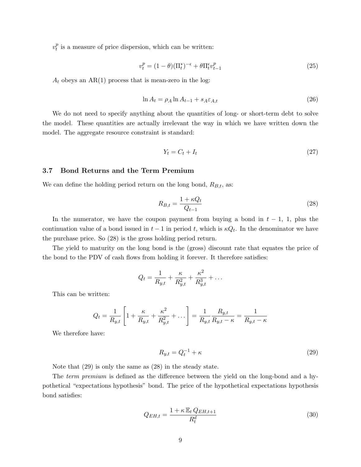$v_t^p$  $_t^p$  is a measure of price dispersion, which can be written:

$$
v_t^p = (1 - \theta)(\Pi_t^*)^{-\epsilon} + \theta \Pi_t^{\epsilon} v_{t-1}^p \tag{25}
$$

 $A_t$  obeys an AR(1) process that is mean-zero in the log:

$$
\ln A_t = \rho_A \ln A_{t-1} + s_A \varepsilon_{A,t} \tag{26}
$$

We do not need to specify anything about the quantities of long- or short-term debt to solve the model. These quantities are actually irrelevant the way in which we have written down the model. The aggregate resource constraint is standard:

$$
Y_t = C_t + I_t \tag{27}
$$

#### 3.7 Bond Returns and the Term Premium

We can define the holding period return on the long bond,  $R_{B,t}$ , as:

$$
R_{B,t} = \frac{1 + \kappa Q_t}{Q_{t-1}}\tag{28}
$$

In the numerator, we have the coupon payment from buying a bond in  $t - 1$ , 1, plus the continuation value of a bond issued in  $t-1$  in period t, which is  $\kappa Q_t$ . In the denominator we have the purchase price. So (28) is the gross holding period return.

The yield to maturity on the long bond is the (gross) discount rate that equates the price of the bond to the PDV of cash flows from holding it forever. It therefore satisfies:

$$
Q_t = \frac{1}{R_{y,t}} + \frac{\kappa}{R_{y,t}^2} + \frac{\kappa^2}{R_{y,t}^3} + \dots
$$

This can be written:

$$
Q_t = \frac{1}{R_{y,t}} \left[ 1 + \frac{\kappa}{R_{y,t}} + \frac{\kappa^2}{R_{y,t}^2} + \dots \right] = \frac{1}{R_{y,t}} \frac{R_{y,t}}{R_{y,t} - \kappa} = \frac{1}{R_{y,t} - \kappa}
$$

We therefore have:

$$
R_{y,t} = Q_t^{-1} + \kappa \tag{29}
$$

Note that (29) is only the same as (28) in the steady state.

The *term premium* is defined as the difference between the yield on the long-bond and a hypothetical "expectations hypothesis" bond. The price of the hypothetical expectations hypothesis bond satisfies:

$$
Q_{EH,t} = \frac{1 + \kappa \mathbb{E}_t Q_{EH,t+1}}{R_t^d} \tag{30}
$$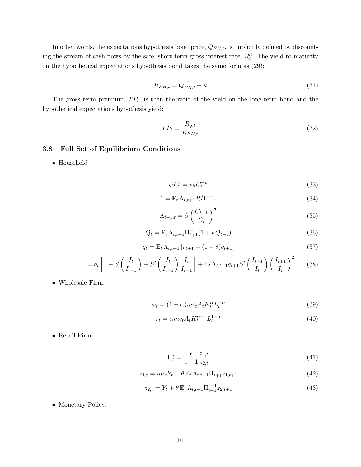In other words, the expectations hypothesis bond price,  $Q_{EH,t}$ , is implicitly defined by discounting the stream of cash flows by the safe, short-term gross interest rate,  $R_t^d$ . The yield to maturity on the hypothetical expectations hypothesis bond takes the same form as (29):

$$
R_{EH,t} = Q_{EH,t}^{-1} + \kappa \tag{31}
$$

The gross term premium,  $TP_t$ , is then the ratio of the yield on the long-term bond and the hypothetical expectations hypothesis yield:

$$
TP_t = \frac{R_{y,t}}{R_{EH,t}}\tag{32}
$$

# 3.8 Full Set of Equilibrium Conditions

• Household

$$
\psi L_t^{\chi} = w_t C_t^{-\sigma} \tag{33}
$$

$$
1 = \mathbb{E}_t \Lambda_{t,t+1} R_t^d \Pi_{t+1}^{-1}
$$
\n(34)

$$
\Lambda_{t-1,t} = \beta \left( \frac{C_{t-1}}{C_t} \right)^{\sigma} \tag{35}
$$

$$
Q_t = \mathbb{E}_t \,\Lambda_{t,t+1} \Pi_{t+1}^{-1} (1 + \kappa Q_{t+1}) \tag{36}
$$

$$
q_t = \mathbb{E}_t \,\Lambda_{t,t+1} \left[ r_{t+1} + (1 - \delta) q_{t+1} \right] \tag{37}
$$

$$
1 = q_t \left[ 1 - S\left(\frac{I_t}{I_{t-1}}\right) - S'\left(\frac{I_t}{I_{t-1}}\right) \frac{I_t}{I_{t-1}} \right] + \mathbb{E}_t \Lambda_{t,t+1} q_{t+1} S'\left(\frac{I_{t+1}}{I_t}\right) \left(\frac{I_{t+1}}{I_t}\right)^2 \tag{38}
$$

• Wholesale Firm:

$$
w_t = (1 - \alpha)mc_t A_t K_t^{\alpha} L_t^{-\alpha}
$$
\n(39)

$$
r_t = \alpha m c_t A_t K_t^{\alpha - 1} L_t^{1 - \alpha}
$$
\n<sup>(40)</sup>

• Retail Firm:

$$
\Pi_t^* = \frac{\epsilon}{\epsilon - 1} \frac{z_{1,t}}{z_{2,t}} \tag{41}
$$

$$
z_{1,t} = mc_t Y_t + \theta \mathbb{E}_t \Lambda_{t,t+1} \Pi_{t+1}^{\epsilon} z_{1,t+1}
$$
\n(42)

$$
z_{2,t} = Y_t + \theta \mathbb{E}_t \Lambda_{t,t+1} \Pi_{t+1}^{\epsilon-1} z_{2,t+1}
$$
\n(43)

• Monetary Policy: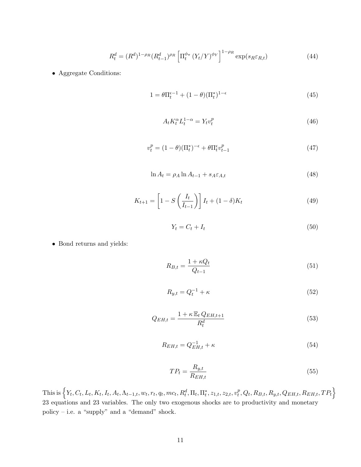$$
R_t^d = (R^d)^{1-\rho_R} (R_{t-1}^d)^{\rho_R} \left[ \Pi_t^{\phi_\pi} \left( Y_t/Y \right)^{\phi_Y} \right]^{1-\rho_R} \exp(s_R \varepsilon_{R,t}) \tag{44}
$$

• Aggregate Conditions:

$$
1 = \theta \Pi_t^{\epsilon - 1} + (1 - \theta)(\Pi_t^*)^{1 - \epsilon} \tag{45}
$$

$$
A_t K_t^{\alpha} L_t^{1-\alpha} = Y_t v_t^p \tag{46}
$$

$$
v_t^p = (1 - \theta)(\Pi_t^*)^{-\epsilon} + \theta \Pi_t^{\epsilon} v_{t-1}^p \tag{47}
$$

$$
\ln A_t = \rho_A \ln A_{t-1} + s_A \varepsilon_{A,t} \tag{48}
$$

$$
K_{t+1} = \left[1 - S\left(\frac{I_t}{I_{t-1}}\right)\right]I_t + (1 - \delta)K_t
$$
\n
$$
(49)
$$

$$
Y_t = C_t + I_t \tag{50}
$$

• Bond returns and yields:

$$
R_{B,t} = \frac{1 + \kappa Q_t}{Q_{t-1}}\tag{51}
$$

$$
R_{y,t} = Q_t^{-1} + \kappa \tag{52}
$$

$$
Q_{EH,t} = \frac{1 + \kappa \mathbb{E}_t Q_{EH,t+1}}{R_t^d} \tag{53}
$$

$$
R_{EH,t} = Q_{EH,t}^{-1} + \kappa \tag{54}
$$

$$
TP_t = \frac{R_{y,t}}{R_{EH,t}}\tag{55}
$$

This is  $\Big\{Y_t, C_t, L_t, K_t, I_t, A_t, \Lambda_{t-1,t}, w_t, r_t, q_t, mc_t, R_t^d, \Pi_t, \Pi_t^*, z_{1,t}, z_{2,t}, v_t^p\Big\}$  $_{t}^{p},Q_{t},R_{B,t},R_{y,t},Q_{EH,t},R_{EH,t},TP_{t}\Big\}$ 23 equations and 23 variables. The only two exogenous shocks are to productivity and monetary policy – i.e. a "supply" and a "demand" shock.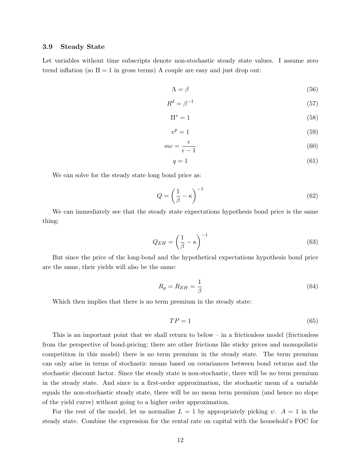#### 3.9 Steady State

Let variables without time subscripts denote non-stochastic steady state values. I assume zero trend inflation (so  $\Pi = 1$  in gross terms) A couple are easy and just drop out:

$$
\Lambda = \beta \tag{56}
$$

$$
R^d = \beta^{-1} \tag{57}
$$

$$
\Pi^* = 1 \tag{58}
$$

$$
v^p = 1\tag{59}
$$

$$
mc = \frac{\epsilon}{\epsilon - 1} \tag{60}
$$

$$
q = 1 \tag{61}
$$

We can solve for the steady state long bond price as:

$$
Q = \left(\frac{1}{\beta} - \kappa\right)^{-1} \tag{62}
$$

We can immediately see that the steady state expectations hypothesis bond price is the same thing:

$$
Q_{EH} = \left(\frac{1}{\beta} - \kappa\right)^{-1} \tag{63}
$$

But since the price of the long-bond and the hypothetical expectations hypothesis bond price are the same, their yields will also be the same:

$$
R_y = R_{EH} = \frac{1}{\beta} \tag{64}
$$

Which then implies that there is no term premium in the steady state:

$$
TP = 1\tag{65}
$$

This is an important point that we shall return to below – in a frictionless model (frictionless from the perspective of bond-pricing; there are other frictions like sticky prices and monopolistic competition in this model) there is no term premium in the steady state. The term premium can only arise in terms of stochastic means based on covariances between bond returns and the stochastic discount factor. Since the steady state is non-stochastic, there will be no term premium in the steady state. And since in a first-order approximation, the stochastic mean of a variable equals the non-stochastic steady state, there will be no mean term premium (and hence no slope of the yield curve) without going to a higher order approximation.

For the rest of the model, let us normalize  $L = 1$  by appropriately picking  $\psi$ .  $A = 1$  in the steady state. Combine the expression for the rental rate on capital with the household's FOC for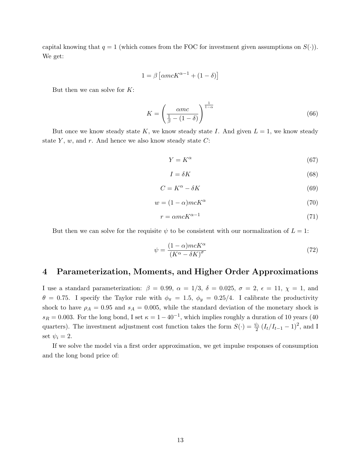capital knowing that  $q = 1$  (which comes from the FOC for investment given assumptions on  $S(.)$ ). We get:

$$
1 = \beta \left[ \alpha mc K^{\alpha - 1} + (1 - \delta) \right]
$$

But then we can solve for  $K$ :

$$
K = \left(\frac{\alpha mc}{\frac{1}{\beta} - (1 - \delta)}\right)^{\frac{1}{1 - \alpha}}\tag{66}
$$

But once we know steady state K, we know steady state I. And given  $L = 1$ , we know steady state  $Y$ ,  $w$ , and  $r$ . And hence we also know steady state  $C$ :

$$
Y = K^{\alpha} \tag{67}
$$

$$
I = \delta K \tag{68}
$$

$$
C = K^{\alpha} - \delta K \tag{69}
$$

$$
w = (1 - \alpha)mcK^{\alpha} \tag{70}
$$

$$
r = \alpha m c K^{\alpha - 1} \tag{71}
$$

But then we can solve for the requisite  $\psi$  to be consistent with our normalization of  $L = 1$ :

$$
\psi = \frac{(1 - \alpha)mcK^{\alpha}}{(K^{\alpha} - \delta K)^{\sigma}}
$$
\n(72)

# 4 Parameterization, Moments, and Higher Order Approximations

I use a standard parameterization:  $\beta = 0.99$ ,  $\alpha = 1/3$ ,  $\delta = 0.025$ ,  $\sigma = 2$ ,  $\epsilon = 11$ ,  $\chi = 1$ , and  $\theta = 0.75$ . I specify the Taylor rule with  $\phi_{\pi} = 1.5$ ,  $\phi_{y} = 0.25/4$ . I calibrate the productivity shock to have  $\rho_A = 0.95$  and  $s_A = 0.005$ , while the standard deviation of the monetary shock is  $s_R = 0.003$ . For the long bond, I set  $\kappa = 1 - 40^{-1}$ , which implies roughly a duration of 10 years (40) quarters). The investment adjustment cost function takes the form  $S(\cdot) = \frac{\psi_i}{2} (I_t/I_{t-1} - 1)^2$ , and I set  $\psi_i = 2$ .

If we solve the model via a first order approximation, we get impulse responses of consumption and the long bond price of: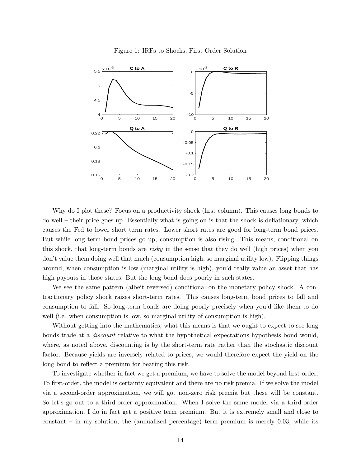

Figure 1: IRFs to Shocks, First Order Solution

Why do I plot these? Focus on a productivity shock (first column). This causes long bonds to do well – their price goes up. Essentially what is going on is that the shock is deflationary, which causes the Fed to lower short term rates. Lower short rates are good for long-term bond prices. But while long term bond prices go up, consumption is also rising. This means, conditional on this shock, that long-term bonds are risky in the sense that they do well (high prices) when you don't value them doing well that much (consumption high, so marginal utility low). Flipping things around, when consumption is low (marginal utility is high), you'd really value an asset that has high payouts in those states. But the long bond does poorly in such states.

We see the same pattern (albeit reversed) conditional on the monetary policy shock. A contractionary policy shock raises short-term rates. This causes long-term bond prices to fall and consumption to fall. So long-term bonds are doing poorly precisely when you'd like them to do well (i.e. when consumption is low, so marginal utility of consumption is high).

Without getting into the mathematics, what this means is that we ought to expect to see long bonds trade at a discount relative to what the hypothetical expectations hypothesis bond would, where, as noted above, discounting is by the short-term rate rather than the stochastic discount factor. Because yields are inversely related to prices, we would therefore expect the yield on the long bond to reflect a premium for bearing this risk.

To investigate whether in fact we get a premium, we have to solve the model beyond first-order. To first-order, the model is certainty equivalent and there are no risk premia. If we solve the model via a second-order approximation, we will got non-zero risk premia but these will be constant. So let's go out to a third-order approximation. When I solve the same model via a third-order approximation, I do in fact get a positive term premium. But it is extremely small and close to constant – in my solution, the (annualized percentage) term premium is merely 0.03, while its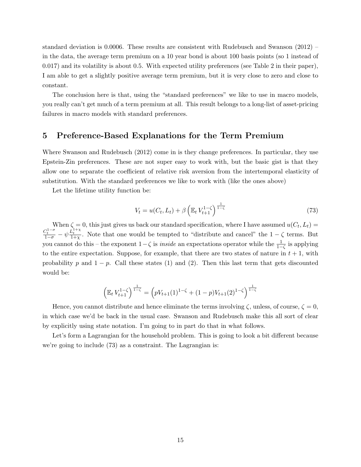standard deviation is 0.0006. These results are consistent with Rudebusch and Swanson (2012) – in the data, the average term premium on a 10 year bond is about 100 basis points (so 1 instead of 0.017) and its volatility is about 0.5. With expected utility preferences (see Table 2 in their paper), I am able to get a slightly positive average term premium, but it is very close to zero and close to constant.

The conclusion here is that, using the "standard preferences" we like to use in macro models, you really can't get much of a term premium at all. This result belongs to a long-list of asset-pricing failures in macro models with standard preferences.

# 5 Preference-Based Explanations for the Term Premium

Where Swanson and Rudebusch (2012) come in is they change preferences. In particular, they use Epstein-Zin preferences. These are not super easy to work with, but the basic gist is that they allow one to separate the coefficient of relative risk aversion from the intertemporal elasticity of substitution. With the standard preferences we like to work with (like the ones above)

Let the lifetime utility function be:

$$
V_t = u(C_t, L_t) + \beta \left( \mathbb{E}_t V_{t+1}^{1-\zeta} \right)^{\frac{1}{1-\zeta}}
$$
\n(73)

When  $\zeta = 0$ , this just gives us back our standard specification, where I have assumed  $u(C_t, L_t) =$  $\frac{C_t^{1-\sigma}}{1-\sigma} - \psi \frac{L_t^{1+\chi}}{1+\chi}$ . Note that one would be tempted to "distribute and cancel" the  $1-\zeta$  terms. But you cannot do this – the exponent  $1-\zeta$  is *inside* an expectations operator while the  $\frac{1}{1-\zeta}$  is applying to the entire expectation. Suppose, for example, that there are two states of nature in  $t + 1$ , with probability p and  $1 - p$ . Call these states (1) and (2). Then this last term that gets discounted would be:

$$
\left(\mathbb{E}_t \, V_{t+1}^{1-\zeta}\right)^{\frac{1}{1-\zeta}} = \left(pV_{t+1}(1)^{1-\zeta} + (1-p)V_{t+1}(2)^{1-\zeta}\right)^{\frac{1}{1-\zeta}}
$$

Hence, you cannot distribute and hence eliminate the terms involving  $\zeta$ , unless, of course,  $\zeta = 0$ , in which case we'd be back in the usual case. Swanson and Rudebusch make this all sort of clear by explicitly using state notation. I'm going to in part do that in what follows.

Let's form a Lagrangian for the household problem. This is going to look a bit different because we're going to include (73) as a constraint. The Lagrangian is: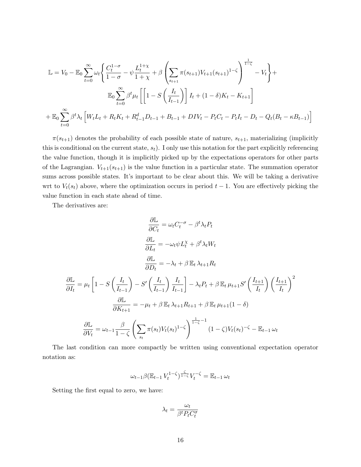$$
\mathbb{L} = V_0 - \mathbb{E}_0 \sum_{t=0}^{\infty} \omega_t \left\{ \frac{C_t^{1-\sigma}}{1-\sigma} - \psi \frac{L_t^{1+\chi}}{1+\chi} + \beta \left( \sum_{s_{t+1}} \pi(s_{t+1}) V_{t+1}(s_{t+1})^{1-\zeta} \right)^{\frac{1}{1-\zeta}} - V_t \right\} +
$$
  

$$
\mathbb{E}_0 \sum_{t=0}^{\infty} \beta^t \mu_t \left[ \left[ 1 - S \left( \frac{I_t}{I_{t-1}} \right) \right] I_t + (1-\delta) K_t - K_{t+1} \right]
$$
  

$$
+ \mathbb{E}_0 \sum_{t=0}^{\infty} \beta^t \lambda_t \left[ W_t L_t + R_t K_t + R_{t-1}^d D_{t-1} + B_{t-1} + DIV_t - P_t C_t - P_t I_t - D_t - Q_t (B_t - \kappa B_{t-1}) \right]
$$

 $\pi(s_{t+1})$  denotes the probability of each possible state of nature,  $s_{t+1}$ , materializing (implicitly this is conditional on the current state,  $s_t$ ). I only use this notation for the part explicitly referencing the value function, though it is implicitly picked up by the expectations operators for other parts of the Lagrangian.  $V_{t+1}(s_{t+1})$  is the value function in a particular state. The summation operator sums across possible states. It's important to be clear about this. We will be taking a derivative wrt to  $V_t(s_t)$  above, where the optimization occurs in period  $t-1$ . You are effectively picking the value function in each state ahead of time.

The derivatives are:

$$
\frac{\partial \mathbb{L}}{\partial C_t} = \omega_t C_t^{-\sigma} - \beta^t \lambda_t P_t
$$
\n
$$
\frac{\partial \mathbb{L}}{\partial L_t} = -\omega_t \psi L_t^{\chi} + \beta^t \lambda_t W_t
$$
\n
$$
\frac{\partial \mathbb{L}}{\partial D_t} = -\lambda_t + \beta \mathbb{E}_t \lambda_{t+1} R_t
$$
\n
$$
\frac{\partial \mathbb{L}}{\partial I_t} = \mu_t \left[ 1 - S \left( \frac{I_t}{I_{t-1}} \right) - S' \left( \frac{I_t}{I_{t-1}} \right) \frac{I_t}{I_{t-1}} \right] - \lambda_t P_t + \beta \mathbb{E}_t \mu_{t+1} S' \left( \frac{I_{t+1}}{I_t} \right) \left( \frac{I_{t+1}}{I_t} \right)^2
$$
\n
$$
\frac{\partial \mathbb{L}}{\partial K_{t+1}} = -\mu_t + \beta \mathbb{E}_t \lambda_{t+1} R_{t+1} + \beta \mathbb{E}_t \mu_{t+1} (1 - \delta)
$$
\n
$$
\frac{\partial \mathbb{L}}{\partial V_t} = \omega_{t-1} \frac{\beta}{1 - \zeta} \left( \sum_{s_t} \pi(s_t) V_t(s_t)^{1 - \zeta} \right)^{\frac{1}{1 - \zeta} - 1} (1 - \zeta) V_t(s_t)^{-\zeta} - \mathbb{E}_{t-1} \omega_t
$$

The last condition can more compactly be written using conventional expectation operator notation as:

$$
\omega_{t-1}\beta(\mathbb{E}_{t-1}V_t^{1-\zeta})^{\frac{\zeta}{1-\zeta}}V_t^{-\zeta} = \mathbb{E}_{t-1}\omega_t
$$

Setting the first equal to zero, we have:

$$
\lambda_t = \frac{\omega_t}{\beta^t P_t C_t^{\sigma}}
$$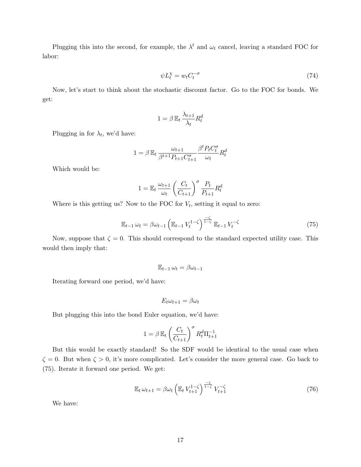Plugging this into the second, for example, the  $\lambda^t$  and  $\omega_t$  cancel, leaving a standard FOC for labor:

$$
\psi L_t^{\chi} = w_t C_t^{-\sigma} \tag{74}
$$

Now, let's start to think about the stochastic discount factor. Go to the FOC for bonds. We get:

$$
1 = \beta \mathbb{E}_t \frac{\lambda_{t+1}}{\lambda_t} R_t^d
$$

Plugging in for  $\lambda_t$ , we'd have:

$$
1 = \beta \mathbb{E}_t \frac{\omega_{t+1}}{\beta^{t+1} P_{t+1} C_{t+1}^{\sigma}} \frac{\beta^t P_t C_t^{\sigma}}{\omega_t} R_t^d
$$

Which would be:

$$
1 = \mathbb{E}_t \frac{\omega_{t+1}}{\omega_t} \left(\frac{C_t}{C_{t+1}}\right)^\sigma \frac{P_t}{P_{t+1}} R_t^d
$$

Where is this getting us? Now to the FOC for  $V_t$ , setting it equal to zero:

$$
\mathbb{E}_{t-1} \omega_t = \beta \omega_{t-1} \left( \mathbb{E}_{t-1} V_t^{1-\zeta} \right)^{\frac{-\zeta}{1-\zeta}} \mathbb{E}_{t-1} V_t^{-\zeta}
$$
\n(75)

Now, suppose that  $\zeta = 0$ . This should correspond to the standard expected utility case. This would then imply that:

$$
\mathbb{E}_{t-1} \,\omega_t = \beta \omega_{t-1}
$$

Iterating forward one period, we'd have:

$$
E_t \omega_{t+1} = \beta \omega_t
$$

But plugging this into the bond Euler equation, we'd have:

$$
1 = \beta \mathbb{E}_t \left(\frac{C_t}{C_{t+1}}\right)^{\sigma} R_t^d \Pi_{t+1}^{-1}
$$

But this would be exactly standard! So the SDF would be identical to the usual case when  $\zeta = 0$ . But when  $\zeta > 0$ , it's more complicated. Let's consider the more general case. Go back to (75). Iterate it forward one period. We get:

$$
\mathbb{E}_t \,\omega_{t+1} = \beta \omega_t \left( \mathbb{E}_t \, V_{t+1}^{1-\zeta} \right)^{\frac{-\zeta}{1-\zeta}} V_{t+1}^{-\zeta} \tag{76}
$$

We have: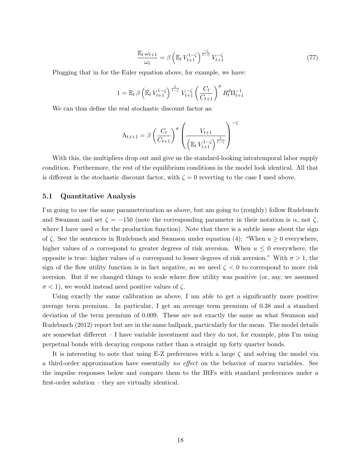$$
\frac{\mathbb{E}_t \,\omega_{t+1}}{\omega_t} = \beta \left( \mathbb{E}_t \, V_{t+1}^{1-\zeta} \right)^{\frac{-\zeta}{1-\zeta}} V_{t+1}^{-\zeta} \tag{77}
$$

Plugging that in for the Euler equation above, for example, we have:

$$
1 = \mathbb{E}_t \beta \left( \mathbb{E}_t V_{t+1}^{1-\zeta} \right)^{\frac{\zeta}{1-\zeta}} V_{t+1}^{-\zeta} \left( \frac{C_t}{C_{t+1}} \right)^{\sigma} R_t^d \Pi_{t+1}^{-1}
$$

We can thus define the real stochastic discount factor as:

$$
\Lambda_{t,t+1} = \beta \left( \frac{C_t}{C_{t+1}} \right)^{\sigma} \left( \frac{V_{t+1}}{\left( \mathbb{E}_t V_{t+1}^{1-\zeta} \right)^{\frac{1}{1-\zeta}}} \right)^{-\zeta}
$$

With this, the multipliers drop out and give us the standard-looking intratemporal labor supply condition. Furthermore, the rest of the equilibrium conditions in the model look identical. All that is different is the stochastic discount factor, with  $\zeta = 0$  reverting to the case I used above.

#### 5.1 Quantitative Analysis

I'm going to use the same parameterization as above, but am going to (roughly) follow Rudebusch and Swanson and set  $\zeta = -150$  (note the corresponding parameter in their notation is  $\alpha$ , not  $\zeta$ , where I have used  $\alpha$  for the production function). Note that there is a subtle issue about the sign of  $\zeta$ . See the sentences in Rudebusch and Swanson under equation (4): "When  $u \ge 0$  everywhere, higher values of  $\alpha$  correspond to greater degrees of risk aversion. When  $u \leq 0$  everywhere, the opposite is true: higher values of α correspond to lesser degrees of risk aversion." With  $\sigma > 1$ , the sign of the flow utility function is in fact negative, so we need  $\zeta < 0$  to correspond to more risk aversion. But if we changed things to scale where flow utility was positive (or, say, we assumed  $\sigma$  < 1), we would instead need positive values of  $\zeta$ .

Using exactly the same calibration as above, I am able to get a significantly more positive average term premium. In particular, I get an average term premium of 0.38 and a standard deviation of the term premium of 0.009. These are not exactly the same as what Swanson and Rudebusch (2012) report but are in the same ballpark, particularly for the mean. The model details are somewhat different  $-I$  have variable investment and they do not, for example, plus I'm using perpetual bonds with decaying coupons rather than a straight up forty quarter bonds.

It is interesting to note that using E-Z preferences with a large  $\zeta$  and solving the model via a third-order approximation have essentially no effect on the behavior of macro variables. See the impulse responses below and compare them to the IRFs with standard preferences under a first-order solution – they are virtually identical.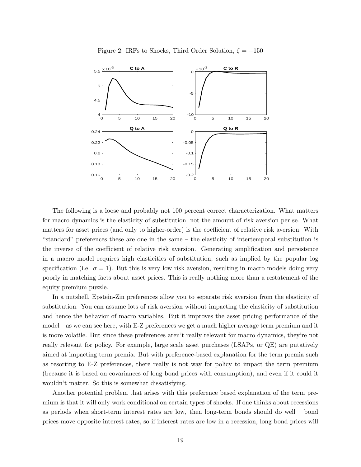

Figure 2: IRFs to Shocks, Third Order Solution,  $\zeta = -150$ 

The following is a loose and probably not 100 percent correct characterization. What matters for macro dynamics is the elasticity of substitution, not the amount of risk aversion per se. What matters for asset prices (and only to higher-order) is the coefficient of relative risk aversion. With "standard" preferences these are one in the same – the elasticity of intertemporal substitution is the inverse of the coefficient of relative risk aversion. Generating amplification and persistence in a macro model requires high elasticities of substitution, such as implied by the popular log specification (i.e.  $\sigma = 1$ ). But this is very low risk aversion, resulting in macro models doing very poorly in matching facts about asset prices. This is really nothing more than a restatement of the equity premium puzzle.

In a nutshell, Epstein-Zin preferences allow you to separate risk aversion from the elasticity of substitution. You can assume lots of risk aversion without impacting the elasticity of substitution and hence the behavior of macro variables. But it improves the asset pricing performance of the model – as we can see here, with E-Z preferences we get a much higher average term premium and it is more volatile. But since these preferences aren't really relevant for macro dynamics, they're not really relevant for policy. For example, large scale asset purchases (LSAPs, or QE) are putatively aimed at impacting term premia. But with preference-based explanation for the term premia such as resorting to E-Z preferences, there really is not way for policy to impact the term premium (because it is based on covariances of long bond prices with consumption), and even if it could it wouldn't matter. So this is somewhat dissatisfying.

Another potential problem that arises with this preference based explanation of the term premium is that it will only work conditional on certain types of shocks. If one thinks about recessions as periods when short-term interest rates are low, then long-term bonds should do well – bond prices move opposite interest rates, so if interest rates are low in a recession, long bond prices will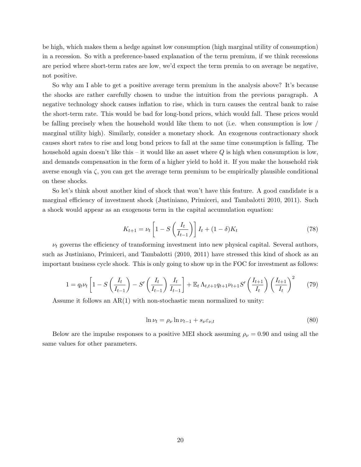be high, which makes them a hedge against low consumption (high marginal utility of consumption) in a recession. So with a preference-based explanation of the term premium, if we think recessions are period where short-term rates are low, we'd expect the term premia to on average be negative, not positive.

So why am I able to get a positive average term premium in the analysis above? It's because the shocks are rather carefully chosen to undue the intuition from the previous paragraph. A negative technology shock causes inflation to rise, which in turn causes the central bank to raise the short-term rate. This would be bad for long-bond prices, which would fall. These prices would be falling precisely when the household would like them to not (i.e. when consumption is low  $/$ marginal utility high). Similarly, consider a monetary shock. An exogenous contractionary shock causes short rates to rise and long bond prices to fall at the same time consumption is falling. The household again doesn't like this – it would like an asset where  $Q$  is high when consumption is low, and demands compensation in the form of a higher yield to hold it. If you make the household risk averse enough via  $\zeta$ , you can get the average term premium to be empirically plausible conditional on these shocks.

So let's think about another kind of shock that won't have this feature. A good candidate is a marginal efficiency of investment shock (Justiniano, Primiceri, and Tambalotti 2010, 2011). Such a shock would appear as an exogenous term in the capital accumulation equation:

$$
K_{t+1} = \nu_t \left[ 1 - S\left(\frac{I_t}{I_{t-1}}\right) \right] I_t + (1 - \delta) K_t \tag{78}
$$

 $\nu_t$  governs the efficiency of transforming investment into new physical capital. Several authors, such as Justiniano, Primiceri, and Tambalotti (2010, 2011) have stressed this kind of shock as an important business cycle shock. This is only going to show up in the FOC for investment as follows:

$$
1 = q_t \nu_t \left[ 1 - S \left( \frac{I_t}{I_{t-1}} \right) - S' \left( \frac{I_t}{I_{t-1}} \right) \frac{I_t}{I_{t-1}} \right] + \mathbb{E}_t \Lambda_{t,t+1} q_{t+1} \nu_{t+1} S' \left( \frac{I_{t+1}}{I_t} \right) \left( \frac{I_{t+1}}{I_t} \right)^2 \tag{79}
$$

Assume it follows an AR(1) with non-stochastic mean normalized to unity:

$$
\ln \nu_t = \rho_\nu \ln \nu_{t-1} + s_\nu \varepsilon_{\nu,t} \tag{80}
$$

Below are the impulse responses to a positive MEI shock assuming  $\rho_{\nu} = 0.90$  and using all the same values for other parameters.